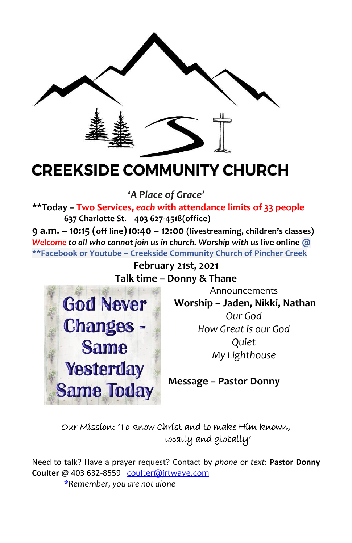

# **CREEKSIDE COMMUNITY CHURCH**

**'***A Place of Grace'*

**\*\*Today – Two Services,** *each* **with attendance limits of 33 people 637 Charlotte St. 403 627-4518(office)**

**9 a.m. – 10:15 (off line)10:40 – 12:00 (livestreaming, children's classes)** *Welcome to all who cannot join us in church. Worship with us* **live online @ \*\*Facebook or Youtube – Creekside Community Church of Pincher Creek**

> **February 21st, 2021 Talk time – Donny & Thane**



Announcements **Worship – Jaden, Nikki, Nathan** *Our God How Great is our God Quiet My Lighthouse*

**Message – Pastor Donny** 

## [O](https://creativecommons.org/licenses/by/3.0/)ur Mission: 'To [know](https://creativecommons.org/licenses/by/3.0/) Christ and to make Him known, locally and globally'

Need to talk? Have a prayer request? Contact by *phone* or *text*: **Pastor Donny Coulter** @ 403 632-8559 [coulter@jrtwave.com](mailto:coulter@jrtwave.com)  \**Remember, you are not alone*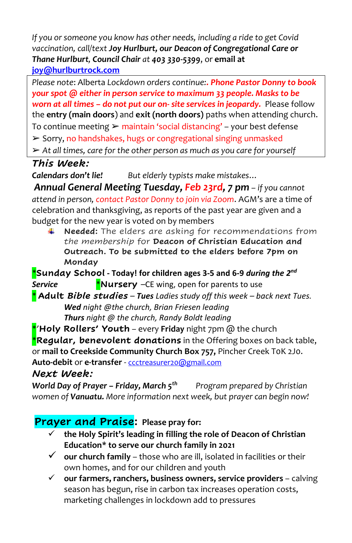*If you or someone you know has other needs, including a ride to get Covid vaccination, call/text Joy Hurlburt, our Deacon of Congregational Care or Thane Hurlburt, Council Chair at 403 330-5399*, or **email at [joy@hurlburtrock.com](mailto:joy@hurlburtrock.com)**

*Please note*: Alberta *Lockdown orders continue:. Phone Pastor Donny to book your spot @ either in person service to maximum 33 people. Masks to be worn at all times – do not put our on- site services in jeopardy.* Please follow the **entry (main doors**) and **exit (north doors)** paths when attending church. To continue meeting  $\triangleright$  maintain 'social distancing' – your best defense ➢ Sorry, no handshakes, hugs or congregational singing unmasked ➢ *At all times, care for the other person as much as you care for yourself*

## *This Week:*

*Calendars don't lie! But elderly typists make mistakes…*

*Annual General Meeting Tuesday, Feb 23rd, 7 pm – if you cannot attend in person, contact Pastor Donny to join via Zoom*. AGM's are a time of celebration and thanksgiving, as reports of the past year are given and a budget for the new year is voted on by members

**Needed:** The elders are asking for recommendations from *the membership* for **Deacon of Christian Education and Outreach. To be submitted to the elders before 7pm on Monday**

\***Sunday School - Today! for children ages 3-5 and 6-9** *during the 2 nd* **Service \*Nursery** –CE wing, open for parents to use \* **Adult** *Bible studies – Tues Ladies study off this week – back next Tues.*

*Wed night @the church, Brian Friesen leading Thurs night @ the church, Randy Boldt leading*

\*'**Holy Rollers' Youth** *–* every **Friday** night 7pm @ the church \***Regular, benevolent donations** in the Offering boxes on back table, or **mail to Creekside Community Church Box 757,** Pincher Creek T0K 2J0. **Auto-debit** or **e-transfer** - [ccctreasurer20@gmail.com](mailto:ccctreasurer20@gmail.com) *Next Week:*

*World Day of Prayer – Friday, March 5th Program prepared by Christian women of Vanuatu. More information next week, but prayer can begin now!*

## **Prayer and Praise: Please pray for:**

- ✓ **the Holy Spirit's leading in filling the role of Deacon of Christian Education\* to serve our church family in 2021**
- ✓ **our church family**  those who are ill, isolated in facilities or their own homes, and for our children and youth
- ✓ **our farmers, ranchers, business owners, service providers** calving season has begun, rise in carbon tax increases operation costs, marketing challenges in lockdown add to pressures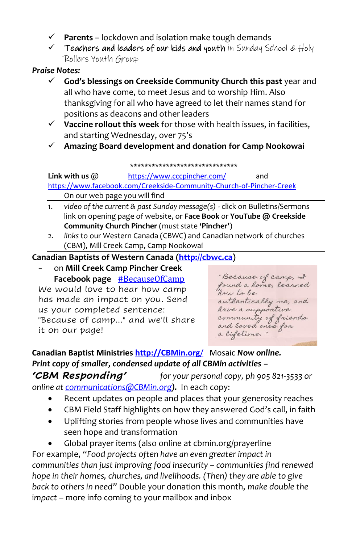- ✓ **Parents –** lockdown and isolation make tough demands
- $\checkmark$  Teachers and leaders of our kids and youth in Sunday School & Holy Rollers Youth Group

#### *Praise Notes:*

- ✓ **God's blessings on Creekside Community Church this past** year and all who have come, to meet Jesus and to worship Him. Also thanksgiving for all who have agreed to let their names stand for positions as deacons and other leaders
- ✓ **Vaccine rollout this week** for those with health issues, in facilities, and starting Wednesday, over 75's
- ✓ **Amazing Board development and donation for Camp Nookowai**

#### **\*\*\*\*\*\*\*\*\*\*\*\*\*\*\*\*\*\*\*\*\*\*\*\*\*\*\*\*\*\***

Link with us  $\omega$  <https://www.cccpincher.com/> and

<https://www.facebook.com/Creekside-Community-Church-of-Pincher-Creek> On our web page you will find

- 1. *video of the current & past Sunday message(s)* click on Bulletins/Sermons link on opening page of website, or **Face Book** or **YouTube @ Creekside Community Church Pincher** (must state **'Pincher'**)
- 2. *links* to our Western Canada (CBWC) and Canadian network of churches (CBM), Mill Creek Camp, Camp Nookowai

### **Canadian Baptists of Western Canada [\(http://cbwc.ca\)](http://cbwc.ca/)**

- on **Mill Creek Camp Pincher Creek Facebook page** [#BecauseOfCamp](https://www.facebook.com/hashtag/becauseofcamp?__eep__=6&__cft__%5b0%5d=AZUh5XvgLLH2jojc59xrrUGTKSzQP0a9cgyVcfzSr-ThFw9pXNIhnJfcKLcMe65oXBfdebPs1jfmdoHmlCHKhrI0YLLHcGlq9PKhkx4310UsrP7i9i25bxl2te-4E49-LjnjTYSgmcvii4GA6kfW8-YK&__tn__=*NK-R) We would love to hear how camp has made an impact on you. Send us your completed sentence: "Because of camp..." and we'll share it on our page!

"Because of camp, I<br>found a home, learned<br>hou to be authentically me, and have a supportive community of friends<br>and loved ones for a lifetime."

**Canadian Baptist Ministries [http://CBMin.org](http://cbmin.org/)**/ Mosaic *Now online. Print copy of smaller, condensed update of all CBMin activities –*

*'CBM Responding' for your personal copy, ph 905 821-3533 or online a[t communications@CBMin.org](mailto:communications@CBMin.org)).* In each copy:

- Recent updates on people and places that your generosity reaches
- CBM Field Staff highlights on how they answered God's call, in faith
- Uplifting stories from people whose lives and communities have seen hope and transformation
- Global prayer items (also online at cbmin.org/prayerline

For example, *"Food projects often have an even greater impact in communities than just improving food insecurity – communities find renewed hope in their homes, churches, and livelihoods. (Then) they are able to give back to others in need"* Double your donation this month, *make double the* i*mpact* – more info coming to your mailbox and inbox